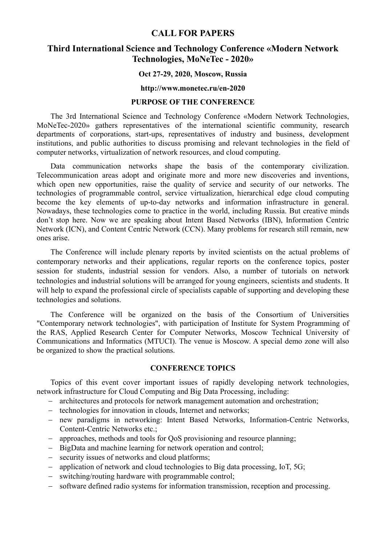# CALL FOR PAPERS

# Third International Science and Technology Conference «Modern Network Technologies, MoNeTec - 2020»

#### Oct 27-29, 2020, Moscow, Russia

#### http://www.monetec.ru/en-2020

## PURPOSE OF THE CONFERENCE

The 3rd International Science and Technology Conference «Modern Network Technologies, MoNeTec-2020» gathers representatives of the international scientific community, research departments of corporations, start-ups, representatives of industry and business, development institutions, and public authorities to discuss promising and relevant technologies in the field of computer networks, virtualization of network resources, and cloud computing.

Data communication networks shape the basis of the contemporary civilization. Telecommunication areas adopt and originate more and more new discoveries and inventions, which open new opportunities, raise the quality of service and security of our networks. The technologies of programmable control, service virtualization, hierarchical edge cloud computing become the key elements of up-to-day networks and information infrastructure in general. Nowadays, these technologies come to practice in the world, including Russia. But creative minds don't stop here. Now we are speaking about Intent Based Networks (IBN), Information Centric Network (ICN), and Content Centric Network (CCN). Many problems for research still remain, new ones arise.

The Conference will include plenary reports by invited scientists on the actual problems of contemporary networks and their applications, regular reports on the conference topics, poster session for students, industrial session for vendors. Also, a number of tutorials on network technologies and industrial solutions will be arranged for young engineers, scientists and students. It will help to expand the professional circle of specialists capable of supporting and developing these technologies and solutions.

The Conference will be organized on the basis of the Consortium of Universities "Contemporary network technologies", with participation of Institute for System Programming of the RAS, Applied Research Center for Computer Networks, Moscow Technical University of Communications and Informatics (MTUCI). The venue is Moscow. A special demo zone will also be organized to show the practical solutions.

## CONFERENCE TOPICS

Topics of this event cover important issues of rapidly developing network technologies, network infrastructure for Cloud Computing and Big Data Processing, including:

- architectures and protocols for network management automation and orchestration;
- technologies for innovation in clouds, Internet and networks;
- new paradigms in networking: Intent Based Networks, Information-Centric Networks, Content-Centric Networks etc.;
- approaches, methods and tools for QoS provisioning and resource planning;
- BigData and machine learning for network operation and control:
- security issues of networks and cloud platforms;
- $\alpha$  application of network and cloud technologies to Big data processing, IoT, 5G;
- switching/routing hardware with programmable control;
- software defined radio systems for information transmission, reception and processing.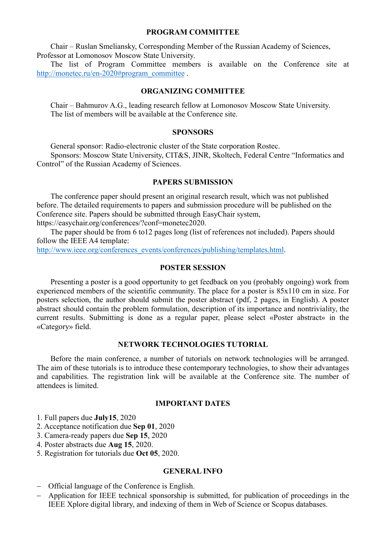#### PROGRAM COMMITTEE

Chair – Ruslan Smeliansky, Corresponding Member of the Russian Academy of Sciences, Professor at Lomonosov Moscow State University.

The list of Program Committee members is available on the Conference site at http://monetec.ru/en-2020#program\_committee .

#### ORGANIZING COMMITTEE

Chair – Bahmurov A.G., leading research fellow at Lomonosov Moscow State University. The list of members will be available at the Conference site.

#### SPONSORS

General sponsor: Radio-electronic cluster of the State corporation Rostec.

Sponsors: Moscow State University, CIT&S, JINR, Skoltech, Federal Centre "Informatics and Control" of the Russian Academy of Sciences.

#### PAPERS SUBMISSION

The conference paper should present an original research result, which was not published before. The detailed requirements to papers and submission procedure will be published on the Conference site. Papers should be submitted through EasyChair system, https://easychair.org/conferences/?conf=monetec2020.

The paper should be from 6 to12 pages long (list of references not included). Papers should follow the IEEE A4 template:

http://www.ieee.org/conferences\_events/conferences/publishing/templates.html.

#### POSTER SESSION

Presenting a poster is a good opportunity to get feedback on you (probably ongoing) work from experienced members of the scientific community. The place for a poster is 85x110 cm in size. For posters selection, the author should submit the poster abstract (pdf, 2 pages, in English). A poster abstract should contain the problem formulation, description of its importance and nontriviality, the current results. Submitting is done as a regular paper, please select «Poster abstract» in the «Category» field.

#### NETWORK TECHNOLOGIES TUTORIAL

Before the main conference, a number of tutorials on network technologies will be arranged. The aim of these tutorials is to introduce these contemporary technologies, to show their advantages and capabilities. The registration link will be available at the Conference site. The number of attendees is limited.

## IMPORTANT DATES

1. Full papers due July15, 2020

- 2. Acceptance notification due Sep 01, 2020
- 3. Camera-ready papers due Sep 15, 2020
- 4. Poster abstracts due Aug 15, 2020.
- 5. Registration for tutorials due Oct 05, 2020.

## GENERAL INFO

- Official language of the Conference is English.
- Application for IEEE technical sponsorship is submitted, for publication of proceedings in the IEEE Xplore digital library, and indexing of them in Web of Science or Scopus databases.